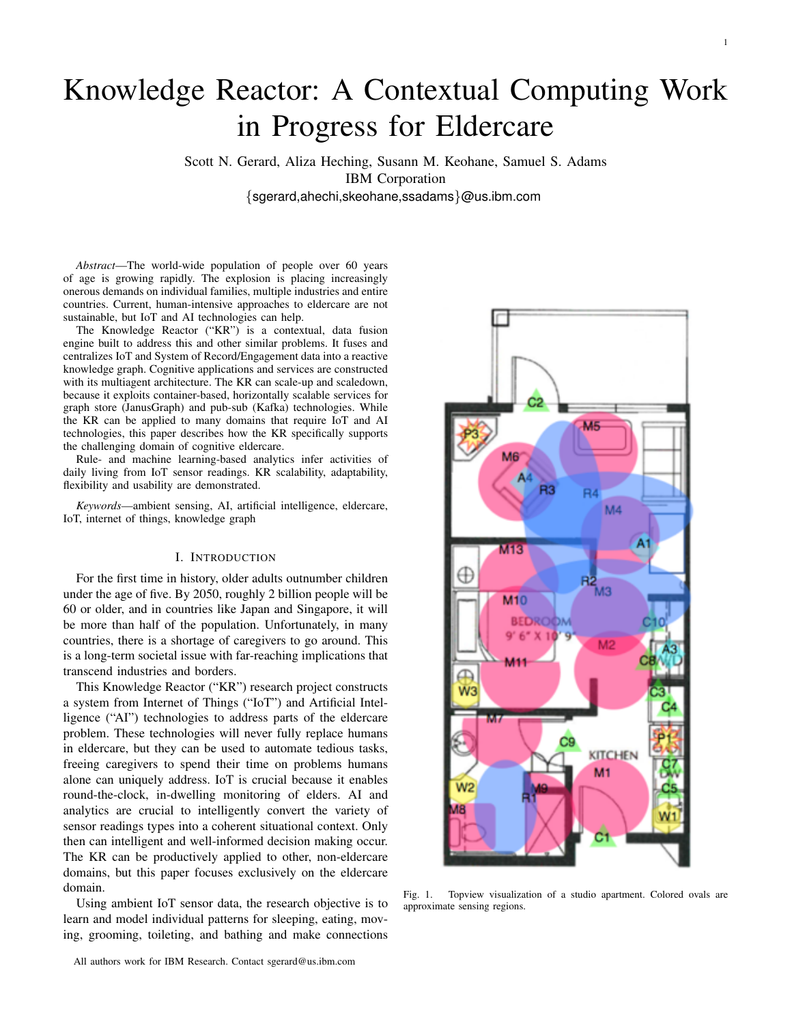# Knowledge Reactor: A Contextual Computing Work in Progress for Eldercare

Scott N. Gerard, Aliza Heching, Susann M. Keohane, Samuel S. Adams IBM Corporation {sgerard,ahechi,skeohane,ssadams}@us.ibm.com

*Abstract*—The world-wide population of people over 60 years of age is growing rapidly. The explosion is placing increasingly onerous demands on individual families, multiple industries and entire countries. Current, human-intensive approaches to eldercare are not sustainable, but IoT and AI technologies can help.

The Knowledge Reactor ("KR") is a contextual, data fusion engine built to address this and other similar problems. It fuses and centralizes IoT and System of Record/Engagement data into a reactive knowledge graph. Cognitive applications and services are constructed with its multiagent architecture. The KR can scale-up and scaledown, because it exploits container-based, horizontally scalable services for graph store (JanusGraph) and pub-sub (Kafka) technologies. While the KR can be applied to many domains that require IoT and AI technologies, this paper describes how the KR specifically supports the challenging domain of cognitive eldercare.

Rule- and machine learning-based analytics infer activities of daily living from IoT sensor readings. KR scalability, adaptability, flexibility and usability are demonstrated.

*Keywords*—ambient sensing, AI, artificial intelligence, eldercare, IoT, internet of things, knowledge graph

# I. INTRODUCTION

For the first time in history, older adults outnumber children under the age of five. By 2050, roughly 2 billion people will be 60 or older, and in countries like Japan and Singapore, it will be more than half of the population. Unfortunately, in many countries, there is a shortage of caregivers to go around. This is a long-term societal issue with far-reaching implications that transcend industries and borders.

This Knowledge Reactor ("KR") research project constructs a system from Internet of Things ("IoT") and Artificial Intelligence ("AI") technologies to address parts of the eldercare problem. These technologies will never fully replace humans in eldercare, but they can be used to automate tedious tasks, freeing caregivers to spend their time on problems humans alone can uniquely address. IoT is crucial because it enables round-the-clock, in-dwelling monitoring of elders. AI and analytics are crucial to intelligently convert the variety of sensor readings types into a coherent situational context. Only then can intelligent and well-informed decision making occur. The KR can be productively applied to other, non-eldercare domains, but this paper focuses exclusively on the eldercare domain.

Using ambient IoT sensor data, the research objective is to learn and model individual patterns for sleeping, eating, moving, grooming, toileting, and bathing and make connections



Fig. 1. Topview visualization of a studio apartment. Colored ovals are approximate sensing regions.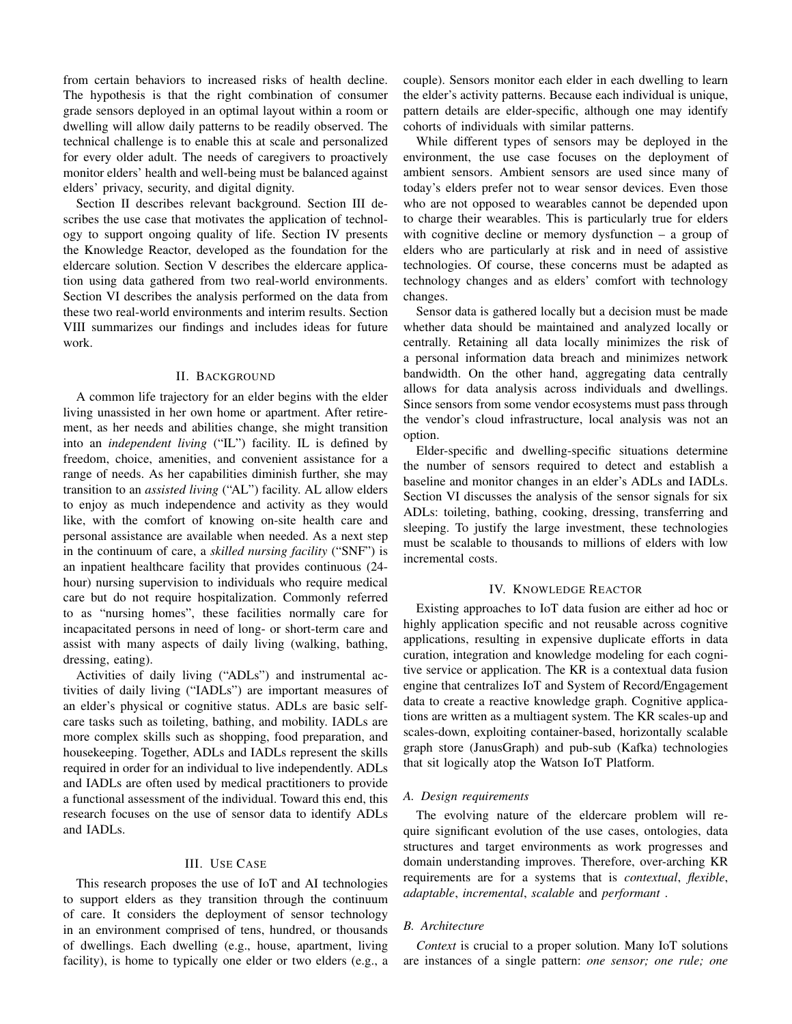from certain behaviors to increased risks of health decline. The hypothesis is that the right combination of consumer grade sensors deployed in an optimal layout within a room or dwelling will allow daily patterns to be readily observed. The technical challenge is to enable this at scale and personalized for every older adult. The needs of caregivers to proactively monitor elders' health and well-being must be balanced against elders' privacy, security, and digital dignity.

Section II describes relevant background. Section III describes the use case that motivates the application of technology to support ongoing quality of life. Section IV presents the Knowledge Reactor, developed as the foundation for the eldercare solution. Section V describes the eldercare application using data gathered from two real-world environments. Section VI describes the analysis performed on the data from these two real-world environments and interim results. Section VIII summarizes our findings and includes ideas for future work.

## II. BACKGROUND

A common life trajectory for an elder begins with the elder living unassisted in her own home or apartment. After retirement, as her needs and abilities change, she might transition into an *independent living* ("IL") facility. IL is defined by freedom, choice, amenities, and convenient assistance for a range of needs. As her capabilities diminish further, she may transition to an *assisted living* ("AL") facility. AL allow elders to enjoy as much independence and activity as they would like, with the comfort of knowing on-site health care and personal assistance are available when needed. As a next step in the continuum of care, a *skilled nursing facility* ("SNF") is an inpatient healthcare facility that provides continuous (24 hour) nursing supervision to individuals who require medical care but do not require hospitalization. Commonly referred to as "nursing homes", these facilities normally care for incapacitated persons in need of long- or short-term care and assist with many aspects of daily living (walking, bathing, dressing, eating).

Activities of daily living ("ADLs") and instrumental activities of daily living ("IADLs") are important measures of an elder's physical or cognitive status. ADLs are basic selfcare tasks such as toileting, bathing, and mobility. IADLs are more complex skills such as shopping, food preparation, and housekeeping. Together, ADLs and IADLs represent the skills required in order for an individual to live independently. ADLs and IADLs are often used by medical practitioners to provide a functional assessment of the individual. Toward this end, this research focuses on the use of sensor data to identify ADLs and IADLs.

## III. USE CASE

This research proposes the use of IoT and AI technologies to support elders as they transition through the continuum of care. It considers the deployment of sensor technology in an environment comprised of tens, hundred, or thousands of dwellings. Each dwelling (e.g., house, apartment, living facility), is home to typically one elder or two elders (e.g., a couple). Sensors monitor each elder in each dwelling to learn the elder's activity patterns. Because each individual is unique, pattern details are elder-specific, although one may identify cohorts of individuals with similar patterns.

While different types of sensors may be deployed in the environment, the use case focuses on the deployment of ambient sensors. Ambient sensors are used since many of today's elders prefer not to wear sensor devices. Even those who are not opposed to wearables cannot be depended upon to charge their wearables. This is particularly true for elders with cognitive decline or memory dysfunction – a group of elders who are particularly at risk and in need of assistive technologies. Of course, these concerns must be adapted as technology changes and as elders' comfort with technology changes.

Sensor data is gathered locally but a decision must be made whether data should be maintained and analyzed locally or centrally. Retaining all data locally minimizes the risk of a personal information data breach and minimizes network bandwidth. On the other hand, aggregating data centrally allows for data analysis across individuals and dwellings. Since sensors from some vendor ecosystems must pass through the vendor's cloud infrastructure, local analysis was not an option.

Elder-specific and dwelling-specific situations determine the number of sensors required to detect and establish a baseline and monitor changes in an elder's ADLs and IADLs. Section VI discusses the analysis of the sensor signals for six ADLs: toileting, bathing, cooking, dressing, transferring and sleeping. To justify the large investment, these technologies must be scalable to thousands to millions of elders with low incremental costs.

#### IV. KNOWLEDGE REACTOR

Existing approaches to IoT data fusion are either ad hoc or highly application specific and not reusable across cognitive applications, resulting in expensive duplicate efforts in data curation, integration and knowledge modeling for each cognitive service or application. The KR is a contextual data fusion engine that centralizes IoT and System of Record/Engagement data to create a reactive knowledge graph. Cognitive applications are written as a multiagent system. The KR scales-up and scales-down, exploiting container-based, horizontally scalable graph store (JanusGraph) and pub-sub (Kafka) technologies that sit logically atop the Watson IoT Platform.

#### *A. Design requirements*

The evolving nature of the eldercare problem will require significant evolution of the use cases, ontologies, data structures and target environments as work progresses and domain understanding improves. Therefore, over-arching KR requirements are for a systems that is *contextual*, *flexible*, *adaptable*, *incremental*, *scalable* and *performant* .

# *B. Architecture*

*Context* is crucial to a proper solution. Many IoT solutions are instances of a single pattern: *one sensor; one rule; one*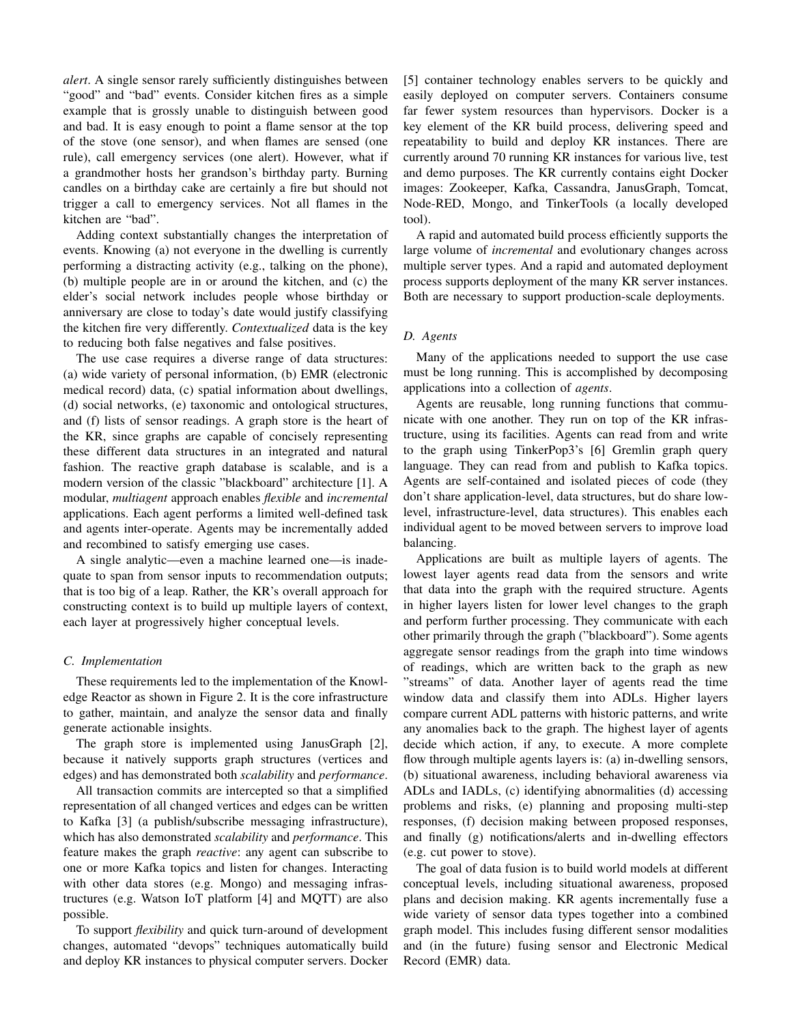*alert*. A single sensor rarely sufficiently distinguishes between "good" and "bad" events. Consider kitchen fires as a simple example that is grossly unable to distinguish between good and bad. It is easy enough to point a flame sensor at the top of the stove (one sensor), and when flames are sensed (one rule), call emergency services (one alert). However, what if a grandmother hosts her grandson's birthday party. Burning candles on a birthday cake are certainly a fire but should not trigger a call to emergency services. Not all flames in the kitchen are "bad".

Adding context substantially changes the interpretation of events. Knowing (a) not everyone in the dwelling is currently performing a distracting activity (e.g., talking on the phone), (b) multiple people are in or around the kitchen, and (c) the elder's social network includes people whose birthday or anniversary are close to today's date would justify classifying the kitchen fire very differently. *Contextualized* data is the key to reducing both false negatives and false positives.

The use case requires a diverse range of data structures: (a) wide variety of personal information, (b) EMR (electronic medical record) data, (c) spatial information about dwellings, (d) social networks, (e) taxonomic and ontological structures, and (f) lists of sensor readings. A graph store is the heart of the KR, since graphs are capable of concisely representing these different data structures in an integrated and natural fashion. The reactive graph database is scalable, and is a modern version of the classic "blackboard" architecture [1]. A modular, *multiagent* approach enables *flexible* and *incremental* applications. Each agent performs a limited well-defined task and agents inter-operate. Agents may be incrementally added and recombined to satisfy emerging use cases.

A single analytic—even a machine learned one—is inadequate to span from sensor inputs to recommendation outputs; that is too big of a leap. Rather, the KR's overall approach for constructing context is to build up multiple layers of context, each layer at progressively higher conceptual levels.

## *C. Implementation*

These requirements led to the implementation of the Knowledge Reactor as shown in Figure 2. It is the core infrastructure to gather, maintain, and analyze the sensor data and finally generate actionable insights.

The graph store is implemented using JanusGraph [2], because it natively supports graph structures (vertices and edges) and has demonstrated both *scalability* and *performance*.

All transaction commits are intercepted so that a simplified representation of all changed vertices and edges can be written to Kafka [3] (a publish/subscribe messaging infrastructure), which has also demonstrated *scalability* and *performance*. This feature makes the graph *reactive*: any agent can subscribe to one or more Kafka topics and listen for changes. Interacting with other data stores (e.g. Mongo) and messaging infrastructures (e.g. Watson IoT platform [4] and MQTT) are also possible.

To support *flexibility* and quick turn-around of development changes, automated "devops" techniques automatically build and deploy KR instances to physical computer servers. Docker [5] container technology enables servers to be quickly and easily deployed on computer servers. Containers consume far fewer system resources than hypervisors. Docker is a key element of the KR build process, delivering speed and repeatability to build and deploy KR instances. There are currently around 70 running KR instances for various live, test and demo purposes. The KR currently contains eight Docker images: Zookeeper, Kafka, Cassandra, JanusGraph, Tomcat, Node-RED, Mongo, and TinkerTools (a locally developed tool).

A rapid and automated build process efficiently supports the large volume of *incremental* and evolutionary changes across multiple server types. And a rapid and automated deployment process supports deployment of the many KR server instances. Both are necessary to support production-scale deployments.

# *D. Agents*

Many of the applications needed to support the use case must be long running. This is accomplished by decomposing applications into a collection of *agents*.

Agents are reusable, long running functions that communicate with one another. They run on top of the KR infrastructure, using its facilities. Agents can read from and write to the graph using TinkerPop3's [6] Gremlin graph query language. They can read from and publish to Kafka topics. Agents are self-contained and isolated pieces of code (they don't share application-level, data structures, but do share lowlevel, infrastructure-level, data structures). This enables each individual agent to be moved between servers to improve load balancing.

Applications are built as multiple layers of agents. The lowest layer agents read data from the sensors and write that data into the graph with the required structure. Agents in higher layers listen for lower level changes to the graph and perform further processing. They communicate with each other primarily through the graph ("blackboard"). Some agents aggregate sensor readings from the graph into time windows of readings, which are written back to the graph as new "streams" of data. Another layer of agents read the time window data and classify them into ADLs. Higher layers compare current ADL patterns with historic patterns, and write any anomalies back to the graph. The highest layer of agents decide which action, if any, to execute. A more complete flow through multiple agents layers is: (a) in-dwelling sensors, (b) situational awareness, including behavioral awareness via ADLs and IADLs, (c) identifying abnormalities (d) accessing problems and risks, (e) planning and proposing multi-step responses, (f) decision making between proposed responses, and finally (g) notifications/alerts and in-dwelling effectors (e.g. cut power to stove).

The goal of data fusion is to build world models at different conceptual levels, including situational awareness, proposed plans and decision making. KR agents incrementally fuse a wide variety of sensor data types together into a combined graph model. This includes fusing different sensor modalities and (in the future) fusing sensor and Electronic Medical Record (EMR) data.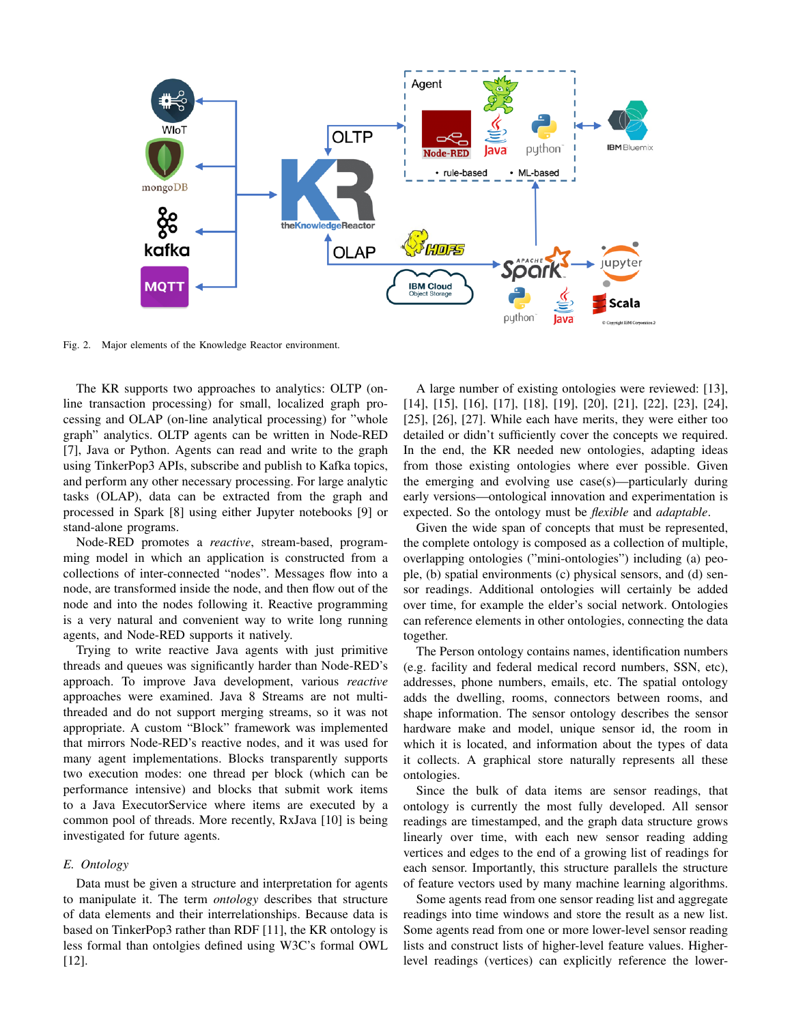

Fig. 2. Major elements of the Knowledge Reactor environment.

The KR supports two approaches to analytics: OLTP (online transaction processing) for small, localized graph processing and OLAP (on-line analytical processing) for "whole graph" analytics. OLTP agents can be written in Node-RED [7], Java or Python. Agents can read and write to the graph using TinkerPop3 APIs, subscribe and publish to Kafka topics, and perform any other necessary processing. For large analytic tasks (OLAP), data can be extracted from the graph and processed in Spark [8] using either Jupyter notebooks [9] or stand-alone programs.

Node-RED promotes a *reactive*, stream-based, programming model in which an application is constructed from a collections of inter-connected "nodes". Messages flow into a node, are transformed inside the node, and then flow out of the node and into the nodes following it. Reactive programming is a very natural and convenient way to write long running agents, and Node-RED supports it natively.

Trying to write reactive Java agents with just primitive threads and queues was significantly harder than Node-RED's approach. To improve Java development, various *reactive* approaches were examined. Java 8 Streams are not multithreaded and do not support merging streams, so it was not appropriate. A custom "Block" framework was implemented that mirrors Node-RED's reactive nodes, and it was used for many agent implementations. Blocks transparently supports two execution modes: one thread per block (which can be performance intensive) and blocks that submit work items to a Java ExecutorService where items are executed by a common pool of threads. More recently, RxJava [10] is being investigated for future agents.

## *E. Ontology*

Data must be given a structure and interpretation for agents to manipulate it. The term *ontology* describes that structure of data elements and their interrelationships. Because data is based on TinkerPop3 rather than RDF [11], the KR ontology is less formal than ontolgies defined using W3C's formal OWL [12].

A large number of existing ontologies were reviewed: [13], [14], [15], [16], [17], [18], [19], [20], [21], [22], [23], [24], [25], [26], [27]. While each have merits, they were either too detailed or didn't sufficiently cover the concepts we required. In the end, the KR needed new ontologies, adapting ideas from those existing ontologies where ever possible. Given the emerging and evolving use case(s)—particularly during early versions—ontological innovation and experimentation is expected. So the ontology must be *flexible* and *adaptable*.

Given the wide span of concepts that must be represented, the complete ontology is composed as a collection of multiple, overlapping ontologies ("mini-ontologies") including (a) people, (b) spatial environments (c) physical sensors, and (d) sensor readings. Additional ontologies will certainly be added over time, for example the elder's social network. Ontologies can reference elements in other ontologies, connecting the data together.

The Person ontology contains names, identification numbers (e.g. facility and federal medical record numbers, SSN, etc), addresses, phone numbers, emails, etc. The spatial ontology adds the dwelling, rooms, connectors between rooms, and shape information. The sensor ontology describes the sensor hardware make and model, unique sensor id, the room in which it is located, and information about the types of data it collects. A graphical store naturally represents all these ontologies.

Since the bulk of data items are sensor readings, that ontology is currently the most fully developed. All sensor readings are timestamped, and the graph data structure grows linearly over time, with each new sensor reading adding vertices and edges to the end of a growing list of readings for each sensor. Importantly, this structure parallels the structure of feature vectors used by many machine learning algorithms.

Some agents read from one sensor reading list and aggregate readings into time windows and store the result as a new list. Some agents read from one or more lower-level sensor reading lists and construct lists of higher-level feature values. Higherlevel readings (vertices) can explicitly reference the lower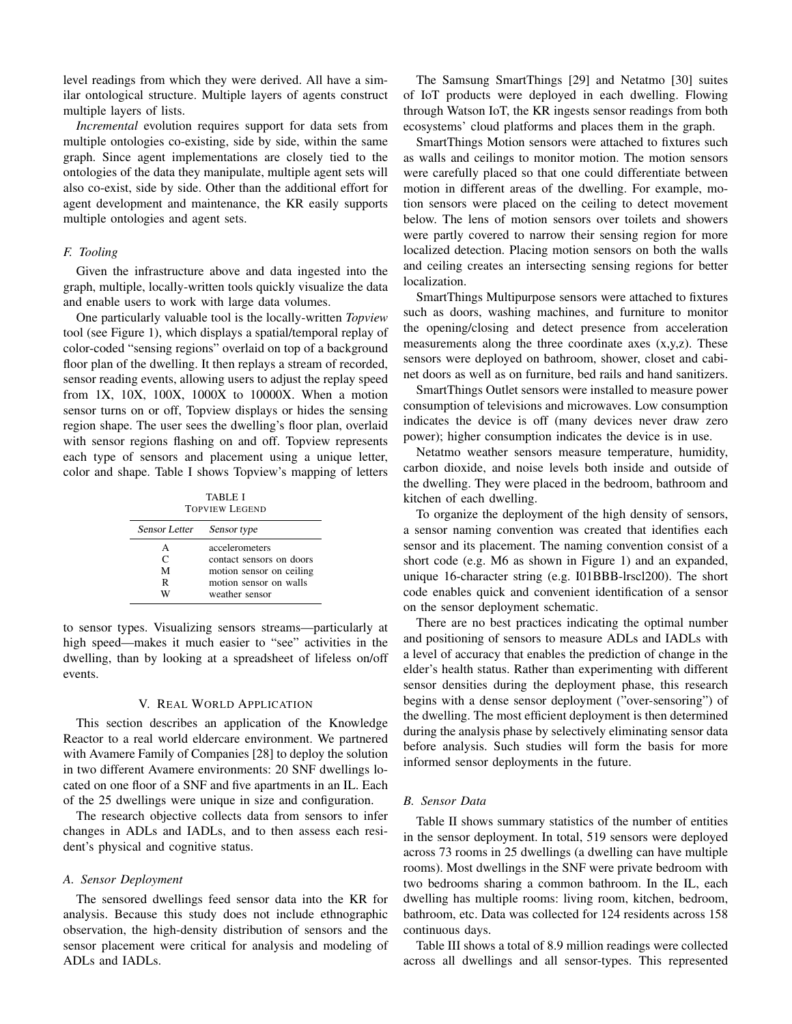level readings from which they were derived. All have a similar ontological structure. Multiple layers of agents construct multiple layers of lists.

*Incremental* evolution requires support for data sets from multiple ontologies co-existing, side by side, within the same graph. Since agent implementations are closely tied to the ontologies of the data they manipulate, multiple agent sets will also co-exist, side by side. Other than the additional effort for agent development and maintenance, the KR easily supports multiple ontologies and agent sets.

# *F. Tooling*

Given the infrastructure above and data ingested into the graph, multiple, locally-written tools quickly visualize the data and enable users to work with large data volumes.

One particularly valuable tool is the locally-written *Topview* tool (see Figure 1), which displays a spatial/temporal replay of color-coded "sensing regions" overlaid on top of a background floor plan of the dwelling. It then replays a stream of recorded, sensor reading events, allowing users to adjust the replay speed from 1X, 10X, 100X, 1000X to 10000X. When a motion sensor turns on or off, Topview displays or hides the sensing region shape. The user sees the dwelling's floor plan, overlaid with sensor regions flashing on and off. Topview represents each type of sensors and placement using a unique letter, color and shape. Table I shows Topview's mapping of letters

TABLE I TOPVIEW LEGEND

| Sensor Letter Sensor type |                          |
|---------------------------|--------------------------|
| А                         | accelerometers           |
| C                         | contact sensors on doors |
| м                         | motion sensor on ceiling |
| R                         | motion sensor on walls   |
| W                         | weather sensor           |

to sensor types. Visualizing sensors streams—particularly at high speed—makes it much easier to "see" activities in the dwelling, than by looking at a spreadsheet of lifeless on/off events.

# V. REAL WORLD APPLICATION

This section describes an application of the Knowledge Reactor to a real world eldercare environment. We partnered with Avamere Family of Companies [28] to deploy the solution in two different Avamere environments: 20 SNF dwellings located on one floor of a SNF and five apartments in an IL. Each of the 25 dwellings were unique in size and configuration.

The research objective collects data from sensors to infer changes in ADLs and IADLs, and to then assess each resident's physical and cognitive status.

## *A. Sensor Deployment*

The sensored dwellings feed sensor data into the KR for analysis. Because this study does not include ethnographic observation, the high-density distribution of sensors and the sensor placement were critical for analysis and modeling of ADLs and IADLs.

The Samsung SmartThings [29] and Netatmo [30] suites of IoT products were deployed in each dwelling. Flowing through Watson IoT, the KR ingests sensor readings from both ecosystems' cloud platforms and places them in the graph.

SmartThings Motion sensors were attached to fixtures such as walls and ceilings to monitor motion. The motion sensors were carefully placed so that one could differentiate between motion in different areas of the dwelling. For example, motion sensors were placed on the ceiling to detect movement below. The lens of motion sensors over toilets and showers were partly covered to narrow their sensing region for more localized detection. Placing motion sensors on both the walls and ceiling creates an intersecting sensing regions for better localization.

SmartThings Multipurpose sensors were attached to fixtures such as doors, washing machines, and furniture to monitor the opening/closing and detect presence from acceleration measurements along the three coordinate axes (x,y,z). These sensors were deployed on bathroom, shower, closet and cabinet doors as well as on furniture, bed rails and hand sanitizers.

SmartThings Outlet sensors were installed to measure power consumption of televisions and microwaves. Low consumption indicates the device is off (many devices never draw zero power); higher consumption indicates the device is in use.

Netatmo weather sensors measure temperature, humidity, carbon dioxide, and noise levels both inside and outside of the dwelling. They were placed in the bedroom, bathroom and kitchen of each dwelling.

To organize the deployment of the high density of sensors, a sensor naming convention was created that identifies each sensor and its placement. The naming convention consist of a short code (e.g. M6 as shown in Figure 1) and an expanded, unique 16-character string (e.g. I01BBB-lrscl200). The short code enables quick and convenient identification of a sensor on the sensor deployment schematic.

There are no best practices indicating the optimal number and positioning of sensors to measure ADLs and IADLs with a level of accuracy that enables the prediction of change in the elder's health status. Rather than experimenting with different sensor densities during the deployment phase, this research begins with a dense sensor deployment ("over-sensoring") of the dwelling. The most efficient deployment is then determined during the analysis phase by selectively eliminating sensor data before analysis. Such studies will form the basis for more informed sensor deployments in the future.

### *B. Sensor Data*

Table II shows summary statistics of the number of entities in the sensor deployment. In total, 519 sensors were deployed across 73 rooms in 25 dwellings (a dwelling can have multiple rooms). Most dwellings in the SNF were private bedroom with two bedrooms sharing a common bathroom. In the IL, each dwelling has multiple rooms: living room, kitchen, bedroom, bathroom, etc. Data was collected for 124 residents across 158 continuous days.

Table III shows a total of 8.9 million readings were collected across all dwellings and all sensor-types. This represented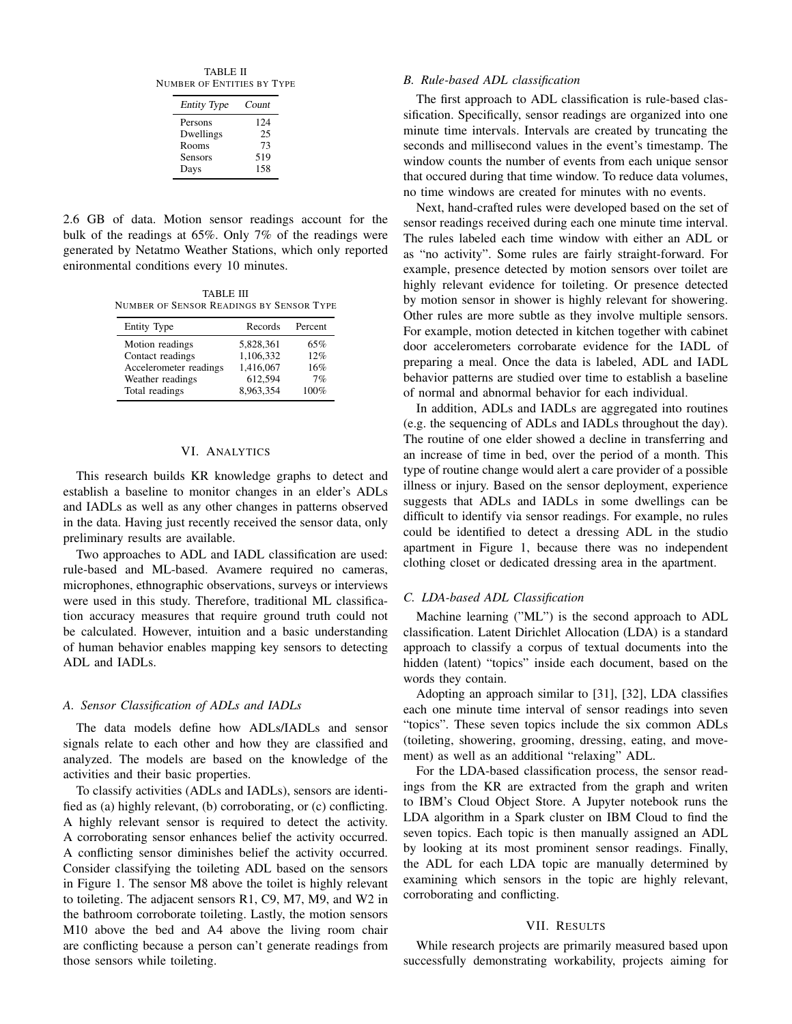TABLE II NUMBER OF ENTITIES BY TYPE

| <b>Entity Type</b> | Count |
|--------------------|-------|
| Persons            | 124   |
| Dwellings          | 25    |
| Rooms              | 73    |
| <b>Sensors</b>     | 519   |
| Days               | 158   |

2.6 GB of data. Motion sensor readings account for the bulk of the readings at 65%. Only 7% of the readings were generated by Netatmo Weather Stations, which only reported enironmental conditions every 10 minutes.

TABLE III NUMBER OF SENSOR READINGS BY SENSOR TYPE

| Entity Type            | Records   | Percent |
|------------------------|-----------|---------|
| Motion readings        | 5,828,361 | 65%     |
| Contact readings       | 1,106,332 | 12%     |
| Accelerometer readings | 1,416,067 | 16%     |
| Weather readings       | 612.594   | 7%      |
| Total readings         | 8.963.354 | 100%    |

# VI. ANALYTICS

This research builds KR knowledge graphs to detect and establish a baseline to monitor changes in an elder's ADLs and IADLs as well as any other changes in patterns observed in the data. Having just recently received the sensor data, only preliminary results are available.

Two approaches to ADL and IADL classification are used: rule-based and ML-based. Avamere required no cameras, microphones, ethnographic observations, surveys or interviews were used in this study. Therefore, traditional ML classification accuracy measures that require ground truth could not be calculated. However, intuition and a basic understanding of human behavior enables mapping key sensors to detecting ADL and IADLs.

### *A. Sensor Classification of ADLs and IADLs*

The data models define how ADLs/IADLs and sensor signals relate to each other and how they are classified and analyzed. The models are based on the knowledge of the activities and their basic properties.

To classify activities (ADLs and IADLs), sensors are identified as (a) highly relevant, (b) corroborating, or (c) conflicting. A highly relevant sensor is required to detect the activity. A corroborating sensor enhances belief the activity occurred. A conflicting sensor diminishes belief the activity occurred. Consider classifying the toileting ADL based on the sensors in Figure 1. The sensor M8 above the toilet is highly relevant to toileting. The adjacent sensors R1, C9, M7, M9, and W2 in the bathroom corroborate toileting. Lastly, the motion sensors M10 above the bed and A4 above the living room chair are conflicting because a person can't generate readings from those sensors while toileting.

#### *B. Rule-based ADL classification*

The first approach to ADL classification is rule-based classification. Specifically, sensor readings are organized into one minute time intervals. Intervals are created by truncating the seconds and millisecond values in the event's timestamp. The window counts the number of events from each unique sensor that occured during that time window. To reduce data volumes, no time windows are created for minutes with no events.

Next, hand-crafted rules were developed based on the set of sensor readings received during each one minute time interval. The rules labeled each time window with either an ADL or as "no activity". Some rules are fairly straight-forward. For example, presence detected by motion sensors over toilet are highly relevant evidence for toileting. Or presence detected by motion sensor in shower is highly relevant for showering. Other rules are more subtle as they involve multiple sensors. For example, motion detected in kitchen together with cabinet door accelerometers corrobarate evidence for the IADL of preparing a meal. Once the data is labeled, ADL and IADL behavior patterns are studied over time to establish a baseline of normal and abnormal behavior for each individual.

In addition, ADLs and IADLs are aggregated into routines (e.g. the sequencing of ADLs and IADLs throughout the day). The routine of one elder showed a decline in transferring and an increase of time in bed, over the period of a month. This type of routine change would alert a care provider of a possible illness or injury. Based on the sensor deployment, experience suggests that ADLs and IADLs in some dwellings can be difficult to identify via sensor readings. For example, no rules could be identified to detect a dressing ADL in the studio apartment in Figure 1, because there was no independent clothing closet or dedicated dressing area in the apartment.

# *C. LDA-based ADL Classification*

Machine learning ("ML") is the second approach to ADL classification. Latent Dirichlet Allocation (LDA) is a standard approach to classify a corpus of textual documents into the hidden (latent) "topics" inside each document, based on the words they contain.

Adopting an approach similar to [31], [32], LDA classifies each one minute time interval of sensor readings into seven "topics". These seven topics include the six common ADLs (toileting, showering, grooming, dressing, eating, and movement) as well as an additional "relaxing" ADL.

For the LDA-based classification process, the sensor readings from the KR are extracted from the graph and writen to IBM's Cloud Object Store. A Jupyter notebook runs the LDA algorithm in a Spark cluster on IBM Cloud to find the seven topics. Each topic is then manually assigned an ADL by looking at its most prominent sensor readings. Finally, the ADL for each LDA topic are manually determined by examining which sensors in the topic are highly relevant, corroborating and conflicting.

## VII. RESULTS

While research projects are primarily measured based upon successfully demonstrating workability, projects aiming for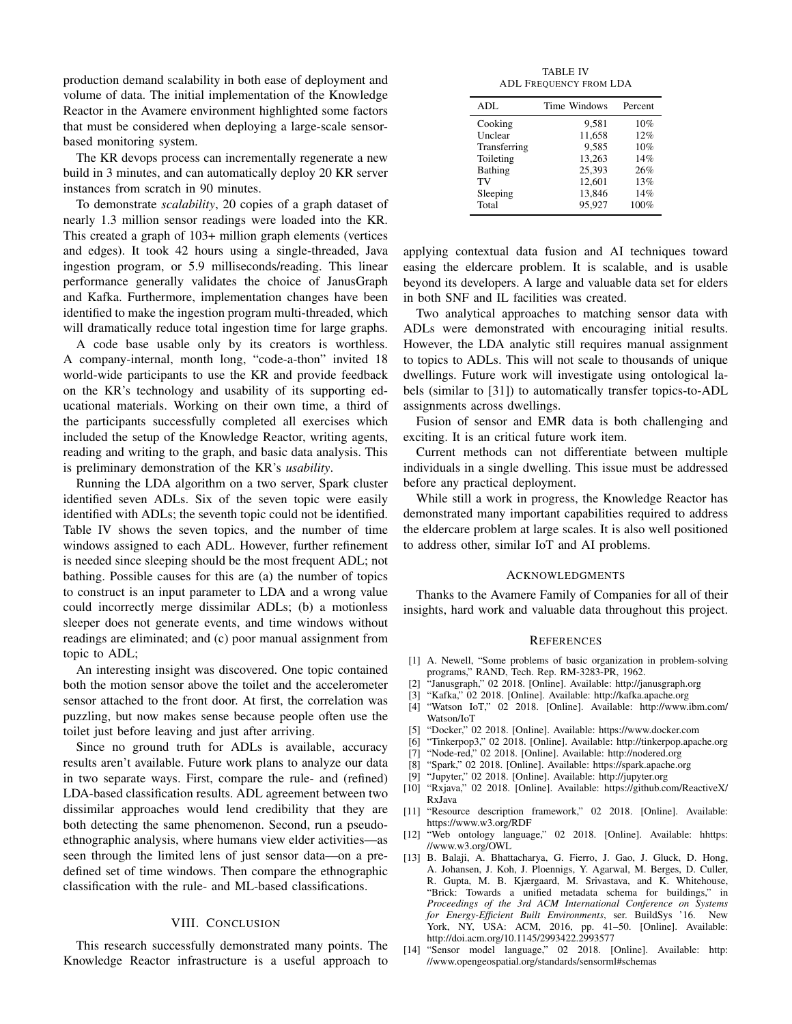production demand scalability in both ease of deployment and volume of data. The initial implementation of the Knowledge Reactor in the Avamere environment highlighted some factors that must be considered when deploying a large-scale sensorbased monitoring system.

The KR devops process can incrementally regenerate a new build in 3 minutes, and can automatically deploy 20 KR server instances from scratch in 90 minutes.

To demonstrate *scalability*, 20 copies of a graph dataset of nearly 1.3 million sensor readings were loaded into the KR. This created a graph of 103+ million graph elements (vertices and edges). It took 42 hours using a single-threaded, Java ingestion program, or 5.9 milliseconds/reading. This linear performance generally validates the choice of JanusGraph and Kafka. Furthermore, implementation changes have been identified to make the ingestion program multi-threaded, which will dramatically reduce total ingestion time for large graphs.

A code base usable only by its creators is worthless. A company-internal, month long, "code-a-thon" invited 18 world-wide participants to use the KR and provide feedback on the KR's technology and usability of its supporting educational materials. Working on their own time, a third of the participants successfully completed all exercises which included the setup of the Knowledge Reactor, writing agents, reading and writing to the graph, and basic data analysis. This is preliminary demonstration of the KR's *usability*.

Running the LDA algorithm on a two server, Spark cluster identified seven ADLs. Six of the seven topic were easily identified with ADLs; the seventh topic could not be identified. Table IV shows the seven topics, and the number of time windows assigned to each ADL. However, further refinement is needed since sleeping should be the most frequent ADL; not bathing. Possible causes for this are (a) the number of topics to construct is an input parameter to LDA and a wrong value could incorrectly merge dissimilar ADLs; (b) a motionless sleeper does not generate events, and time windows without readings are eliminated; and (c) poor manual assignment from topic to ADL;

An interesting insight was discovered. One topic contained both the motion sensor above the toilet and the accelerometer sensor attached to the front door. At first, the correlation was puzzling, but now makes sense because people often use the toilet just before leaving and just after arriving.

Since no ground truth for ADLs is available, accuracy results aren't available. Future work plans to analyze our data in two separate ways. First, compare the rule- and (refined) LDA-based classification results. ADL agreement between two dissimilar approaches would lend credibility that they are both detecting the same phenomenon. Second, run a pseudoethnographic analysis, where humans view elder activities—as seen through the limited lens of just sensor data—on a predefined set of time windows. Then compare the ethnographic classification with the rule- and ML-based classifications.

# VIII. CONCLUSION

This research successfully demonstrated many points. The Knowledge Reactor infrastructure is a useful approach to

TABLE IV ADL FREQUENCY FROM LDA

| ADL          | Time Windows | Percent |
|--------------|--------------|---------|
| Cooking      | 9.581        | 10%     |
| Unclear      | 11,658       | 12%     |
| Transferring | 9.585        | 10%     |
| Toileting    | 13,263       | 14%     |
| Bathing      | 25,393       | 26%     |
| TV           | 12.601       | 13%     |
| Sleeping     | 13,846       | 14%     |
| Total        | 95.927       | 100%    |

applying contextual data fusion and AI techniques toward easing the eldercare problem. It is scalable, and is usable beyond its developers. A large and valuable data set for elders in both SNF and IL facilities was created.

Two analytical approaches to matching sensor data with ADLs were demonstrated with encouraging initial results. However, the LDA analytic still requires manual assignment to topics to ADLs. This will not scale to thousands of unique dwellings. Future work will investigate using ontological labels (similar to [31]) to automatically transfer topics-to-ADL assignments across dwellings.

Fusion of sensor and EMR data is both challenging and exciting. It is an critical future work item.

Current methods can not differentiate between multiple individuals in a single dwelling. This issue must be addressed before any practical deployment.

While still a work in progress, the Knowledge Reactor has demonstrated many important capabilities required to address the eldercare problem at large scales. It is also well positioned to address other, similar IoT and AI problems.

#### ACKNOWLEDGMENTS

Thanks to the Avamere Family of Companies for all of their insights, hard work and valuable data throughout this project.

#### **REFERENCES**

- [1] A. Newell, "Some problems of basic organization in problem-solving programs," RAND, Tech. Rep. RM-3283-PR, 1962.
- [2] "Janusgraph," 02 2018. [Online]. Available: http://janusgraph.org
- [3] "Kafka," 02 2018. [Online]. Available: http://kafka.apache.org
- [4] "Watson IoT," 02 2018. [Online]. Available: http://www.ibm.com/ Watson/IoT
- [5] "Docker," 02 2018. [Online]. Available: https://www.docker.com
- [6] "Tinkerpop3," 02 2018. [Online]. Available: http://tinkerpop.apache.org
- [7] "Node-red," 02 2018. [Online]. Available: http://nodered.org
- [8] "Spark," 02 2018. [Online]. Available: https://spark.apache.org
- [9] "Jupyter," 02 2018. [Online]. Available: http://jupyter.org
- [10] "Rxjava," 02 2018. [Online]. Available: https://github.com/ReactiveX/ RxJava
- [11] "Resource description framework," 02 2018. [Online]. Available: https://www.w3.org/RDF
- [12] "Web ontology language," 02 2018. [Online]. Available: hhttps: //www.w3.org/OWL
- [13] B. Balaji, A. Bhattacharya, G. Fierro, J. Gao, J. Gluck, D. Hong, A. Johansen, J. Koh, J. Ploennigs, Y. Agarwal, M. Berges, D. Culler, R. Gupta, M. B. Kjærgaard, M. Srivastava, and K. Whitehouse, "Brick: Towards a unified metadata schema for buildings," in *Proceedings of the 3rd ACM International Conference on Systems for Energy-Efficient Built Environments*, ser. BuildSys '16. New York, NY, USA: ACM, 2016, pp. 41–50. [Online]. Available: http://doi.acm.org/10.1145/2993422.2993577
- [14] "Sensor model language," 02 2018. [Online]. Available: http: //www.opengeospatial.org/standards/sensorml#schemas